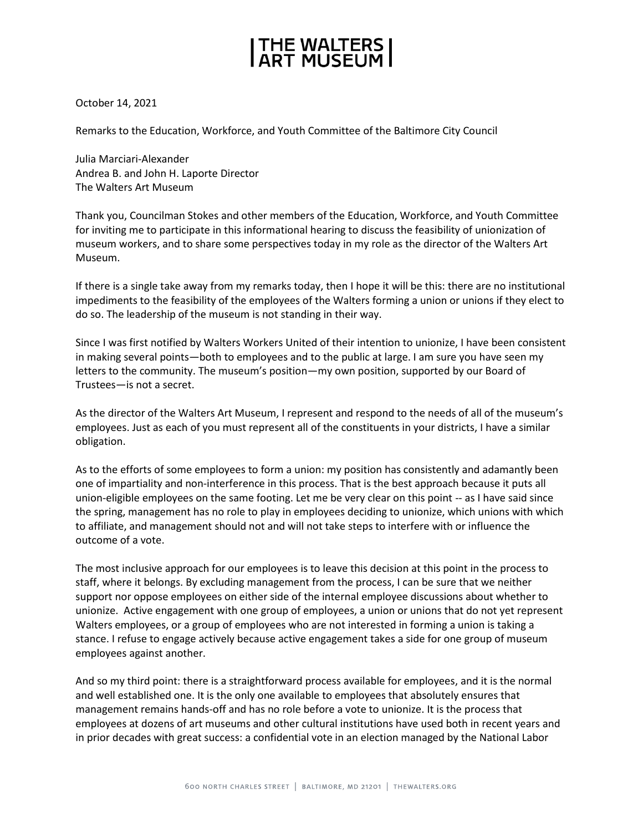## THE WALTERS<br>ART MUSEUM

October 14, 2021

Remarks to the Education, Workforce, and Youth Committee of the Baltimore City Council

Julia Marciari-Alexander Andrea B. and John H. Laporte Director The Walters Art Museum

Thank you, Councilman Stokes and other members of the Education, Workforce, and Youth Committee for inviting me to participate in this informational hearing to discuss the feasibility of unionization of museum workers, and to share some perspectives today in my role as the director of the Walters Art Museum.

If there is a single take away from my remarks today, then I hope it will be this: there are no institutional impediments to the feasibility of the employees of the Walters forming a union or unions if they elect to do so. The leadership of the museum is not standing in their way.

Since I was first notified by Walters Workers United of their intention to unionize, I have been consistent in making several points—both to employees and to the public at large. I am sure you have seen my letters to the community. The museum's position—my own position, supported by our Board of Trustees—is not a secret.

As the director of the Walters Art Museum, I represent and respond to the needs of all of the museum's employees. Just as each of you must represent all of the constituents in your districts, I have a similar obligation.

As to the efforts of some employees to form a union: my position has consistently and adamantly been one of impartiality and non-interference in this process. That is the best approach because it puts all union-eligible employees on the same footing. Let me be very clear on this point -- as I have said since the spring, management has no role to play in employees deciding to unionize, which unions with which to affiliate, and management should not and will not take steps to interfere with or influence the outcome of a vote.

The most inclusive approach for our employees is to leave this decision at this point in the process to staff, where it belongs. By excluding management from the process, I can be sure that we neither support nor oppose employees on either side of the internal employee discussions about whether to unionize. Active engagement with one group of employees, a union or unions that do not yet represent Walters employees, or a group of employees who are not interested in forming a union is taking a stance. I refuse to engage actively because active engagement takes a side for one group of museum employees against another.

And so my third point: there is a straightforward process available for employees, and it is the normal and well established one. It is the only one available to employees that absolutely ensures that management remains hands-off and has no role before a vote to unionize. It is the process that employees at dozens of art museums and other cultural institutions have used both in recent years and in prior decades with great success: a confidential vote in an election managed by the National Labor